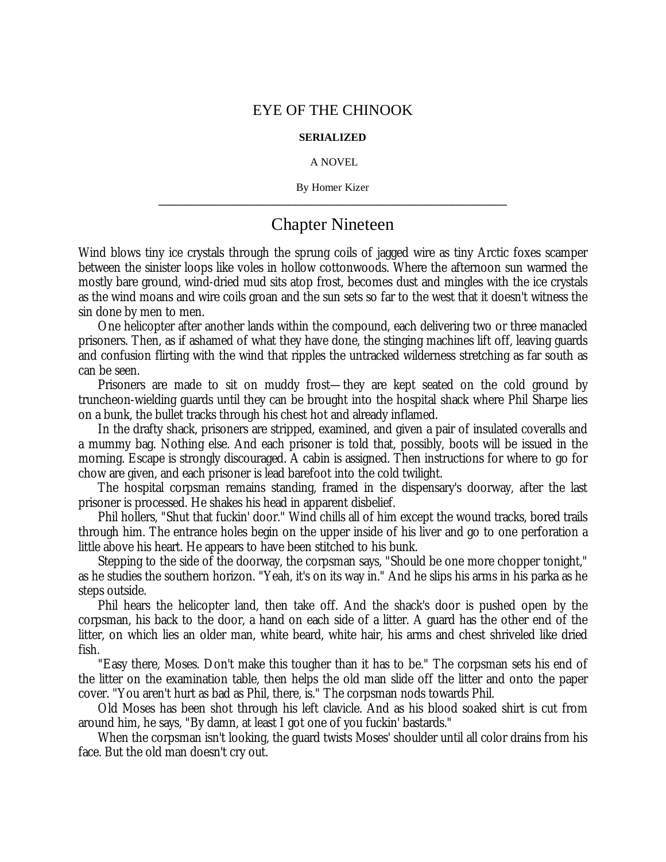## EYE OF THE CHINOOK

## **SERIALIZED**

## A NOVEL

By Homer Kizer **\_\_\_\_\_\_\_\_\_\_\_\_\_\_\_\_\_\_\_\_\_\_\_\_\_\_\_\_\_\_\_\_\_\_\_\_\_\_\_\_\_\_\_\_\_\_\_\_\_\_\_\_\_\_\_\_\_\_\_\_\_\_\_\_**

## Chapter Nineteen

Wind blows tiny ice crystals through the sprung coils of jagged wire as tiny Arctic foxes scamper between the sinister loops like voles in hollow cottonwoods. Where the afternoon sun warmed the mostly bare ground, wind-dried mud sits atop frost, becomes dust and mingles with the ice crystals as the wind moans and wire coils groan and the sun sets so far to the west that it doesn't witness the sin done by men to men.

One helicopter after another lands within the compound, each delivering two or three manacled prisoners. Then, as if ashamed of what they have done, the stinging machines lift off, leaving guards and confusion flirting with the wind that ripples the untracked wilderness stretching as far south as can be seen.

Prisoners are made to sit on muddy frost— they are kept seated on the cold ground by truncheon-wielding guards until they can be brought into the hospital shack where Phil Sharpe lies on a bunk, the bullet tracks through his chest hot and already inflamed.

In the drafty shack, prisoners are stripped, examined, and given a pair of insulated coveralls and a mummy bag. Nothing else. And each prisoner is told that, possibly, boots will be issued in the morning. Escape is strongly discouraged. A cabin is assigned. Then instructions for where to go for chow are given, and each prisoner is lead barefoot into the cold twilight.

The hospital corpsman remains standing, framed in the dispensary's doorway, after the last prisoner is processed. He shakes his head in apparent disbelief.

Phil hollers, "Shut that fuckin' door." Wind chills all of him except the wound tracks, bored trails through him. The entrance holes begin on the upper inside of his liver and go to one perforation a little above his heart. He appears to have been stitched to his bunk.

Stepping to the side of the doorway, the corpsman says, "Should be one more chopper tonight," as he studies the southern horizon. "Yeah, it's on its way in." And he slips his arms in his parka as he steps outside.

Phil hears the helicopter land, then take off. And the shack's door is pushed open by the corpsman, his back to the door, a hand on each side of a litter. A guard has the other end of the litter, on which lies an older man, white beard, white hair, his arms and chest shriveled like dried fish.

"Easy there, Moses. Don't make this tougher than it has to be." The corpsman sets his end of the litter on the examination table, then helps the old man slide off the litter and onto the paper cover. "You aren't hurt as bad as Phil, there, is." The corpsman nods towards Phil.

Old Moses has been shot through his left clavicle. And as his blood soaked shirt is cut from around him, he says, "By damn, at least I got one of you fuckin' bastards."

When the corpsman isn't looking, the guard twists Moses' shoulder until all color drains from his face. But the old man doesn't cry out.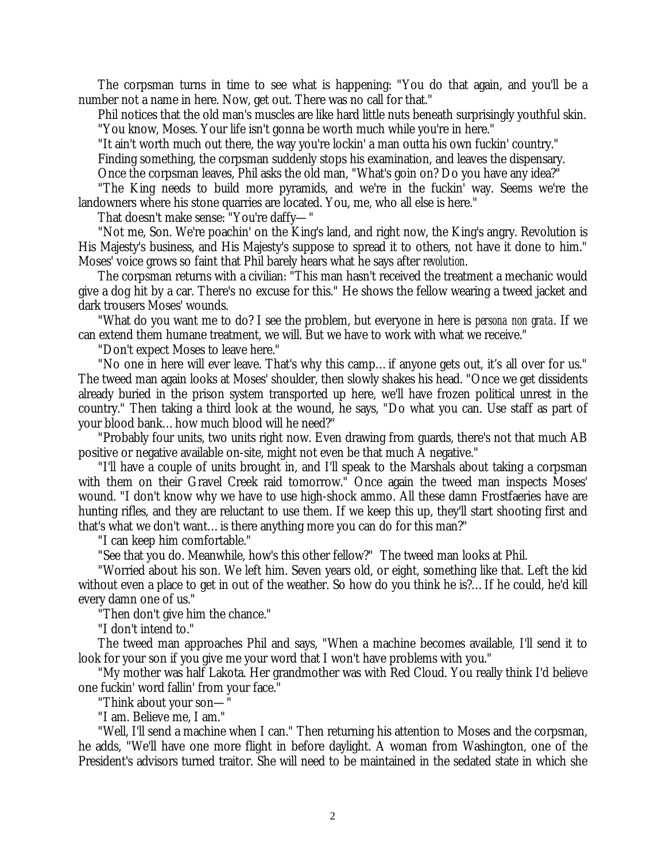The corpsman turns in time to see what is happening: "You do that again, and you'll be a number not a name in here. Now, get out. There was no call for that."

Phil notices that the old man's muscles are like hard little nuts beneath surprisingly youthful skin. "You know, Moses. Your life isn't gonna be worth much while you're in here."

"It ain't worth much out there, the way you're lockin' a man outta his own fuckin' country."

Finding something, the corpsman suddenly stops his examination, and leaves the dispensary.

Once the corpsman leaves, Phil asks the old man, "What's goin on? Do you have any idea?"

"The King needs to build more pyramids, and we're in the fuckin' way. Seems we're the landowners where his stone quarries are located. You, me, who all else is here."

That doesn't make sense: "You're daffy— "

"Not me, Son. We're poachin' on the King's land, and right now, the King's angry. Revolution is His Majesty's business, and His Majesty's suppose to spread it to others, not have it done to him." Moses' voice grows so faint that Phil barely hears what he says after *revolution*.

The corpsman returns with a civilian: "This man hasn't received the treatment a mechanic would give a dog hit by a car. There's no excuse for this." He shows the fellow wearing a tweed jacket and dark trousers Moses' wounds.

"What do you want me to do? I see the problem, but everyone in here is *persona non grata*. If we can extend them humane treatment, we will. But we have to work with what we receive."

"Don't expect Moses to leave here."

"No one in here will ever leave. That's why this camp… if anyone gets out, it's all over for us." The tweed man again looks at Moses' shoulder, then slowly shakes his head. "Once we get dissidents already buried in the prison system transported up here, we'll have frozen political unrest in the country." Then taking a third look at the wound, he says, "Do what you can. Use staff as part of your blood bank… how much blood will he need?"

"Probably four units, two units right now. Even drawing from guards, there's not that much AB positive or negative available on-site, might not even be that much A negative."

"I'll have a couple of units brought in, and I'll speak to the Marshals about taking a corpsman with them on their Gravel Creek raid tomorrow." Once again the tweed man inspects Moses' wound. "I don't know why we have to use high-shock ammo. All these damn Frostfaeries have are hunting rifles, and they are reluctant to use them. If we keep this up, they'll start shooting first and that's what we don't want… is there anything more you can do for this man?"

"I can keep him comfortable."

"See that you do. Meanwhile, how's this other fellow?" The tweed man looks at Phil.

"Worried about his son. We left him. Seven years old, or eight, something like that. Left the kid without even a place to get in out of the weather. So how do you think he is?… If he could, he'd kill every damn one of us."

"Then don't give him the chance."

"I don't intend to."

The tweed man approaches Phil and says, "When a machine becomes available, I'll send it to look for your son if you give me your word that I won't have problems with you."

"My mother was half Lakota. Her grandmother was with Red Cloud. You really think I'd believe one fuckin' word fallin' from your face."

"Think about your son— "

"I am. Believe me, I am."

"Well, I'll send a machine when I can." Then returning his attention to Moses and the corpsman, he adds, "We'll have one more flight in before daylight. A woman from Washington, one of the President's advisors turned traitor. She will need to be maintained in the sedated state in which she